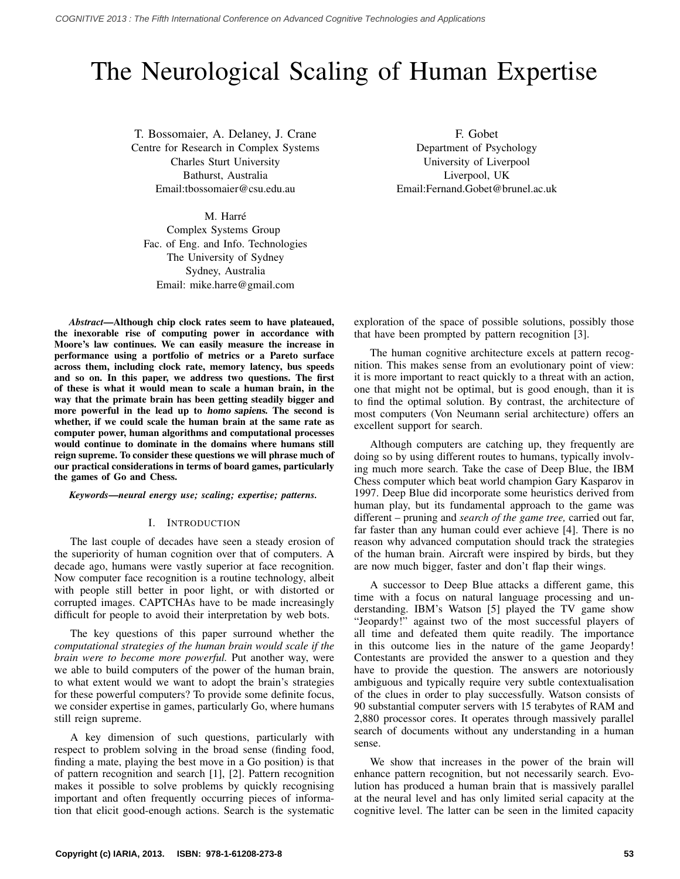# The Neurological Scaling of Human Expertise

T. Bossomaier, A. Delaney, J. Crane Centre for Research in Complex Systems Charles Sturt University Bathurst, Australia Email:tbossomaier@csu.edu.au

M. Harré Complex Systems Group Fac. of Eng. and Info. Technologies The University of Sydney

Sydney, Australia Email: mike.harre@gmail.com

*Abstract*—Although chip clock rates seem to have plateaued, the inexorable rise of computing power in accordance with Moore's law continues. We can easily measure the increase in performance using a portfolio of metrics or a Pareto surface across them, including clock rate, memory latency, bus speeds and so on. In this paper, we address two questions. The first of these is what it would mean to scale a human brain, in the way that the primate brain has been getting steadily bigger and more powerful in the lead up to homo sapiens. The second is whether, if we could scale the human brain at the same rate as computer power, human algorithms and computational processes would continue to dominate in the domains where humans still reign supreme. To consider these questions we will phrase much of our practical considerations in terms of board games, particularly the games of Go and Chess.

*Keywords*—*neural energy use; scaling; expertise; patterns.*

#### I. INTRODUCTION

The last couple of decades have seen a steady erosion of the superiority of human cognition over that of computers. A decade ago, humans were vastly superior at face recognition. Now computer face recognition is a routine technology, albeit with people still better in poor light, or with distorted or corrupted images. CAPTCHAs have to be made increasingly difficult for people to avoid their interpretation by web bots.

The key questions of this paper surround whether the *computational strategies of the human brain would scale if the brain were to become more powerful.* Put another way, were we able to build computers of the power of the human brain, to what extent would we want to adopt the brain's strategies for these powerful computers? To provide some definite focus, we consider expertise in games, particularly Go, where humans still reign supreme.

A key dimension of such questions, particularly with respect to problem solving in the broad sense (finding food, finding a mate, playing the best move in a Go position) is that of pattern recognition and search [1], [2]. Pattern recognition makes it possible to solve problems by quickly recognising important and often frequently occurring pieces of information that elicit good-enough actions. Search is the systematic

F. Gobet Department of Psychology University of Liverpool Liverpool, UK Email:Fernand.Gobet@brunel.ac.uk

exploration of the space of possible solutions, possibly those that have been prompted by pattern recognition [3].

The human cognitive architecture excels at pattern recognition. This makes sense from an evolutionary point of view: it is more important to react quickly to a threat with an action, one that might not be optimal, but is good enough, than it is to find the optimal solution. By contrast, the architecture of most computers (Von Neumann serial architecture) offers an excellent support for search.

Although computers are catching up, they frequently are doing so by using different routes to humans, typically involving much more search. Take the case of Deep Blue, the IBM Chess computer which beat world champion Gary Kasparov in 1997. Deep Blue did incorporate some heuristics derived from human play, but its fundamental approach to the game was different – pruning and *search of the game tree,* carried out far, far faster than any human could ever achieve [4]. There is no reason why advanced computation should track the strategies of the human brain. Aircraft were inspired by birds, but they are now much bigger, faster and don't flap their wings.

A successor to Deep Blue attacks a different game, this time with a focus on natural language processing and understanding. IBM's Watson [5] played the TV game show "Jeopardy!" against two of the most successful players of all time and defeated them quite readily. The importance in this outcome lies in the nature of the game Jeopardy! Contestants are provided the answer to a question and they have to provide the question. The answers are notoriously ambiguous and typically require very subtle contextualisation of the clues in order to play successfully. Watson consists of 90 substantial computer servers with 15 terabytes of RAM and 2,880 processor cores. It operates through massively parallel search of documents without any understanding in a human sense.

We show that increases in the power of the brain will enhance pattern recognition, but not necessarily search. Evolution has produced a human brain that is massively parallel at the neural level and has only limited serial capacity at the cognitive level. The latter can be seen in the limited capacity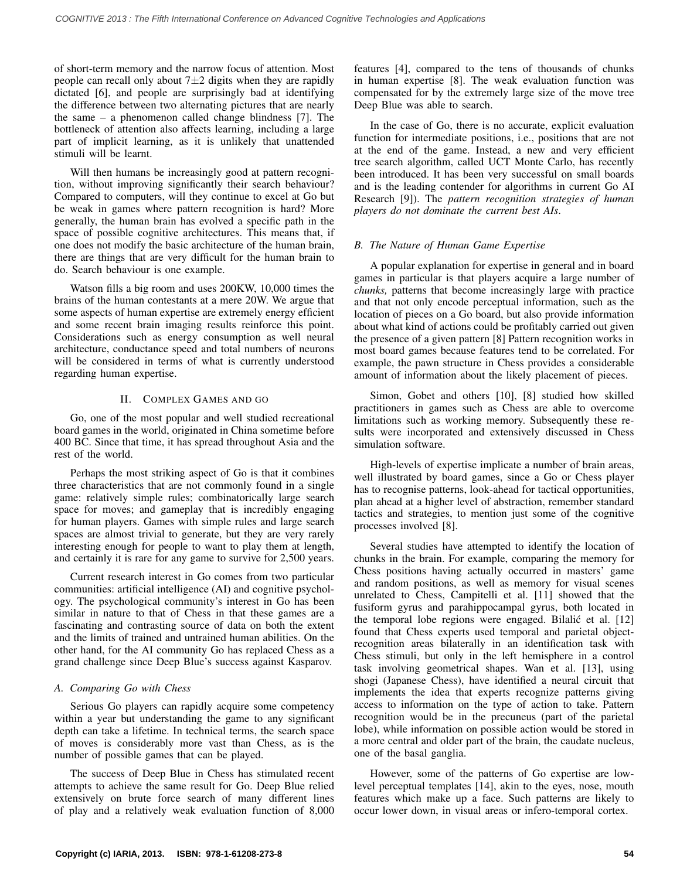of short-term memory and the narrow focus of attention. Most people can recall only about  $7\pm 2$  digits when they are rapidly dictated [6], and people are surprisingly bad at identifying the difference between two alternating pictures that are nearly the same – a phenomenon called change blindness [7]. The bottleneck of attention also affects learning, including a large part of implicit learning, as it is unlikely that unattended stimuli will be learnt.

Will then humans be increasingly good at pattern recognition, without improving significantly their search behaviour? Compared to computers, will they continue to excel at Go but be weak in games where pattern recognition is hard? More generally, the human brain has evolved a specific path in the space of possible cognitive architectures. This means that, if one does not modify the basic architecture of the human brain, there are things that are very difficult for the human brain to do. Search behaviour is one example.

Watson fills a big room and uses 200KW, 10,000 times the brains of the human contestants at a mere 20W. We argue that some aspects of human expertise are extremely energy efficient and some recent brain imaging results reinforce this point. Considerations such as energy consumption as well neural architecture, conductance speed and total numbers of neurons will be considered in terms of what is currently understood regarding human expertise.

## II. COMPLEX GAMES AND GO

Go, one of the most popular and well studied recreational board games in the world, originated in China sometime before 400 BC. Since that time, it has spread throughout Asia and the rest of the world.

Perhaps the most striking aspect of Go is that it combines three characteristics that are not commonly found in a single game: relatively simple rules; combinatorically large search space for moves; and gameplay that is incredibly engaging for human players. Games with simple rules and large search spaces are almost trivial to generate, but they are very rarely interesting enough for people to want to play them at length, and certainly it is rare for any game to survive for 2,500 years.

Current research interest in Go comes from two particular communities: artificial intelligence (AI) and cognitive psychology. The psychological community's interest in Go has been similar in nature to that of Chess in that these games are a fascinating and contrasting source of data on both the extent and the limits of trained and untrained human abilities. On the other hand, for the AI community Go has replaced Chess as a grand challenge since Deep Blue's success against Kasparov.

### *A. Comparing Go with Chess*

Serious Go players can rapidly acquire some competency within a year but understanding the game to any significant depth can take a lifetime. In technical terms, the search space of moves is considerably more vast than Chess, as is the number of possible games that can be played.

The success of Deep Blue in Chess has stimulated recent attempts to achieve the same result for Go. Deep Blue relied extensively on brute force search of many different lines of play and a relatively weak evaluation function of 8,000 features [4], compared to the tens of thousands of chunks in human expertise [8]. The weak evaluation function was compensated for by the extremely large size of the move tree Deep Blue was able to search.

In the case of Go, there is no accurate, explicit evaluation function for intermediate positions, i.e., positions that are not at the end of the game. Instead, a new and very efficient tree search algorithm, called UCT Monte Carlo, has recently been introduced. It has been very successful on small boards and is the leading contender for algorithms in current Go AI Research [9]). The *pattern recognition strategies of human players do not dominate the current best AIs*.

## *B. The Nature of Human Game Expertise*

A popular explanation for expertise in general and in board games in particular is that players acquire a large number of *chunks,* patterns that become increasingly large with practice and that not only encode perceptual information, such as the location of pieces on a Go board, but also provide information about what kind of actions could be profitably carried out given the presence of a given pattern [8] Pattern recognition works in most board games because features tend to be correlated. For example, the pawn structure in Chess provides a considerable amount of information about the likely placement of pieces.

Simon, Gobet and others [10], [8] studied how skilled practitioners in games such as Chess are able to overcome limitations such as working memory. Subsequently these results were incorporated and extensively discussed in Chess simulation software.

High-levels of expertise implicate a number of brain areas, well illustrated by board games, since a Go or Chess player has to recognise patterns, look-ahead for tactical opportunities, plan ahead at a higher level of abstraction, remember standard tactics and strategies, to mention just some of the cognitive processes involved [8].

Several studies have attempted to identify the location of chunks in the brain. For example, comparing the memory for Chess positions having actually occurred in masters' game and random positions, as well as memory for visual scenes unrelated to Chess, Campitelli et al. [11] showed that the fusiform gyrus and parahippocampal gyrus, both located in the temporal lobe regions were engaged. Bilalić et al. [12] found that Chess experts used temporal and parietal objectrecognition areas bilaterally in an identification task with Chess stimuli, but only in the left hemisphere in a control task involving geometrical shapes. Wan et al. [13], using shogi (Japanese Chess), have identified a neural circuit that implements the idea that experts recognize patterns giving access to information on the type of action to take. Pattern recognition would be in the precuneus (part of the parietal lobe), while information on possible action would be stored in a more central and older part of the brain, the caudate nucleus, one of the basal ganglia.

However, some of the patterns of Go expertise are lowlevel perceptual templates [14], akin to the eyes, nose, mouth features which make up a face. Such patterns are likely to occur lower down, in visual areas or infero-temporal cortex.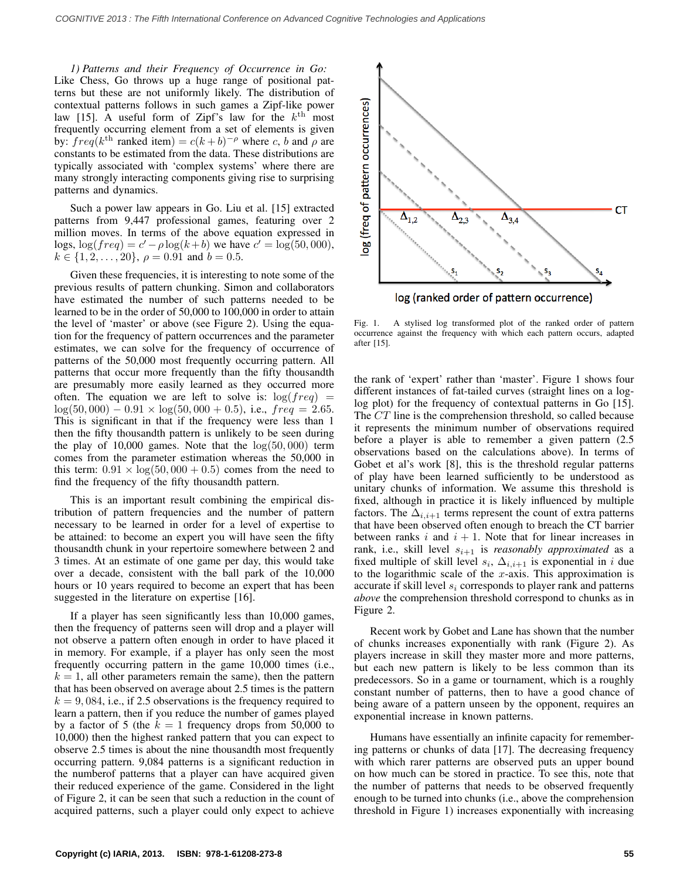*1) Patterns and their Frequency of Occurrence in Go:* Like Chess, Go throws up a huge range of positional patterns but these are not uniformly likely. The distribution of contextual patterns follows in such games a Zipf-like power law [15]. A useful form of Zipf's law for the  $k^{\text{th}}$  most frequently occurring element from a set of elements is given by:  $freq(k^{th}$  ranked item) =  $c(k+b)^{-\rho}$  where c, b and  $\rho$  are constants to be estimated from the data. These distributions are typically associated with 'complex systems' where there are many strongly interacting components giving rise to surprising patterns and dynamics.

Such a power law appears in Go. Liu et al. [15] extracted patterns from 9,447 professional games, featuring over 2 million moves. In terms of the above equation expressed in logs,  $log(freq) = c' - \rho log(k + b)$  we have  $c' = log(50,000)$ ,  $k \in \{1, 2, \ldots, 20\}, \ \rho = 0.91 \text{ and } b = 0.5.$ 

Given these frequencies, it is interesting to note some of the previous results of pattern chunking. Simon and collaborators have estimated the number of such patterns needed to be learned to be in the order of 50,000 to 100,000 in order to attain the level of 'master' or above (see Figure 2). Using the equation for the frequency of pattern occurrences and the parameter estimates, we can solve for the frequency of occurrence of patterns of the 50,000 most frequently occurring pattern. All patterns that occur more frequently than the fifty thousandth are presumably more easily learned as they occurred more often. The equation we are left to solve is:  $log(freq)$  =  $log(50,000) - 0.91 \times log(50,000 + 0.5)$ , i.e.,  $freq = 2.65$ . This is significant in that if the frequency were less than 1 then the fifty thousandth pattern is unlikely to be seen during the play of 10,000 games. Note that the  $log(50,000)$  term comes from the parameter estimation whereas the 50,000 in this term:  $0.91 \times \log(50,000 + 0.5)$  comes from the need to find the frequency of the fifty thousandth pattern.

This is an important result combining the empirical distribution of pattern frequencies and the number of pattern necessary to be learned in order for a level of expertise to be attained: to become an expert you will have seen the fifty thousandth chunk in your repertoire somewhere between 2 and 3 times. At an estimate of one game per day, this would take over a decade, consistent with the ball park of the 10,000 hours or 10 years required to become an expert that has been suggested in the literature on expertise [16].

If a player has seen significantly less than 10,000 games, then the frequency of patterns seen will drop and a player will not observe a pattern often enough in order to have placed it in memory. For example, if a player has only seen the most frequently occurring pattern in the game 10,000 times (i.e.,  $k = 1$ , all other parameters remain the same), then the pattern that has been observed on average about 2.5 times is the pattern  $k = 9,084$ , i.e., if 2.5 observations is the frequency required to learn a pattern, then if you reduce the number of games played by a factor of 5 (the  $k = 1$  frequency drops from 50,000 to 10,000) then the highest ranked pattern that you can expect to observe 2.5 times is about the nine thousandth most frequently occurring pattern. 9,084 patterns is a significant reduction in the numberof patterns that a player can have acquired given their reduced experience of the game. Considered in the light of Figure 2, it can be seen that such a reduction in the count of acquired patterns, such a player could only expect to achieve



Fig. 1. A stylised log transformed plot of the ranked order of pattern occurrence against the frequency with which each pattern occurs, adapted after [15].

the rank of 'expert' rather than 'master'. Figure 1 shows four different instances of fat-tailed curves (straight lines on a loglog plot) for the frequency of contextual patterns in Go [15]. The CT line is the comprehension threshold, so called because it represents the minimum number of observations required before a player is able to remember a given pattern (2.5 observations based on the calculations above). In terms of Gobet et al's work [8], this is the threshold regular patterns of play have been learned sufficiently to be understood as unitary chunks of information. We assume this threshold is fixed, although in practice it is likely influenced by multiple factors. The  $\Delta_{i,i+1}$  terms represent the count of extra patterns that have been observed often enough to breach the CT barrier between ranks  $i$  and  $i + 1$ . Note that for linear increases in rank, i.e., skill level  $s_{i+1}$  is *reasonably approximated* as a fixed multiple of skill level  $s_i$ ,  $\Delta_{i,i+1}$  is exponential in i due to the logarithmic scale of the  $x$ -axis. This approximation is accurate if skill level  $s_i$  corresponds to player rank and patterns *above* the comprehension threshold correspond to chunks as in Figure 2.

Recent work by Gobet and Lane has shown that the number of chunks increases exponentially with rank (Figure 2). As players increase in skill they master more and more patterns, but each new pattern is likely to be less common than its predecessors. So in a game or tournament, which is a roughly constant number of patterns, then to have a good chance of being aware of a pattern unseen by the opponent, requires an exponential increase in known patterns.

Humans have essentially an infinite capacity for remembering patterns or chunks of data [17]. The decreasing frequency with which rarer patterns are observed puts an upper bound on how much can be stored in practice. To see this, note that the number of patterns that needs to be observed frequently enough to be turned into chunks (i.e., above the comprehension threshold in Figure 1) increases exponentially with increasing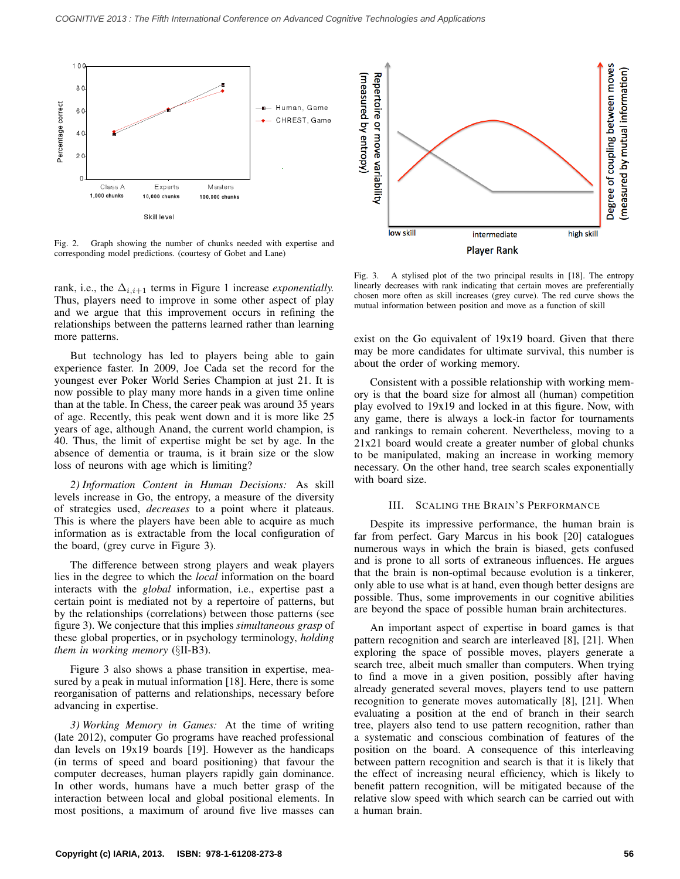

Fig. 2. Graph showing the number of chunks needed with expertise and corresponding model predictions. (courtesy of Gobet and Lane)

rank, i.e., the  $\Delta_{i,i+1}$  terms in Figure 1 increase *exponentially*. Thus, players need to improve in some other aspect of play and we argue that this improvement occurs in refining the relationships between the patterns learned rather than learning more patterns.

But technology has led to players being able to gain experience faster. In 2009, Joe Cada set the record for the youngest ever Poker World Series Champion at just 21. It is now possible to play many more hands in a given time online than at the table. In Chess, the career peak was around 35 years of age. Recently, this peak went down and it is more like 25 years of age, although Anand, the current world champion, is 40. Thus, the limit of expertise might be set by age. In the absence of dementia or trauma, is it brain size or the slow loss of neurons with age which is limiting?

*2) Information Content in Human Decisions:* As skill levels increase in Go, the entropy, a measure of the diversity of strategies used, *decreases* to a point where it plateaus. This is where the players have been able to acquire as much information as is extractable from the local configuration of the board, (grey curve in Figure 3).

The difference between strong players and weak players lies in the degree to which the *local* information on the board interacts with the *global* information, i.e., expertise past a certain point is mediated not by a repertoire of patterns, but by the relationships (correlations) between those patterns (see figure 3). We conjecture that this implies *simultaneous grasp* of these global properties, or in psychology terminology, *holding them in working memory* (§II-B3).

Figure 3 also shows a phase transition in expertise, measured by a peak in mutual information [18]. Here, there is some reorganisation of patterns and relationships, necessary before advancing in expertise.

*3) Working Memory in Games:* At the time of writing (late 2012), computer Go programs have reached professional dan levels on 19x19 boards [19]. However as the handicaps (in terms of speed and board positioning) that favour the computer decreases, human players rapidly gain dominance. In other words, humans have a much better grasp of the interaction between local and global positional elements. In most positions, a maximum of around five live masses can



Fig. 3. A stylised plot of the two principal results in [18]. The entropy linearly decreases with rank indicating that certain moves are preferentially chosen more often as skill increases (grey curve). The red curve shows the mutual information between position and move as a function of skill

exist on the Go equivalent of 19x19 board. Given that there may be more candidates for ultimate survival, this number is about the order of working memory.

Consistent with a possible relationship with working memory is that the board size for almost all (human) competition play evolved to 19x19 and locked in at this figure. Now, with any game, there is always a lock-in factor for tournaments and rankings to remain coherent. Nevertheless, moving to a 21x21 board would create a greater number of global chunks to be manipulated, making an increase in working memory necessary. On the other hand, tree search scales exponentially with board size.

#### III. SCALING THE BRAIN'S PERFORMANCE

Despite its impressive performance, the human brain is far from perfect. Gary Marcus in his book [20] catalogues numerous ways in which the brain is biased, gets confused and is prone to all sorts of extraneous influences. He argues that the brain is non-optimal because evolution is a tinkerer, only able to use what is at hand, even though better designs are possible. Thus, some improvements in our cognitive abilities are beyond the space of possible human brain architectures.

An important aspect of expertise in board games is that pattern recognition and search are interleaved [8], [21]. When exploring the space of possible moves, players generate a search tree, albeit much smaller than computers. When trying to find a move in a given position, possibly after having already generated several moves, players tend to use pattern recognition to generate moves automatically [8], [21]. When evaluating a position at the end of branch in their search tree, players also tend to use pattern recognition, rather than a systematic and conscious combination of features of the position on the board. A consequence of this interleaving between pattern recognition and search is that it is likely that the effect of increasing neural efficiency, which is likely to benefit pattern recognition, will be mitigated because of the relative slow speed with which search can be carried out with a human brain.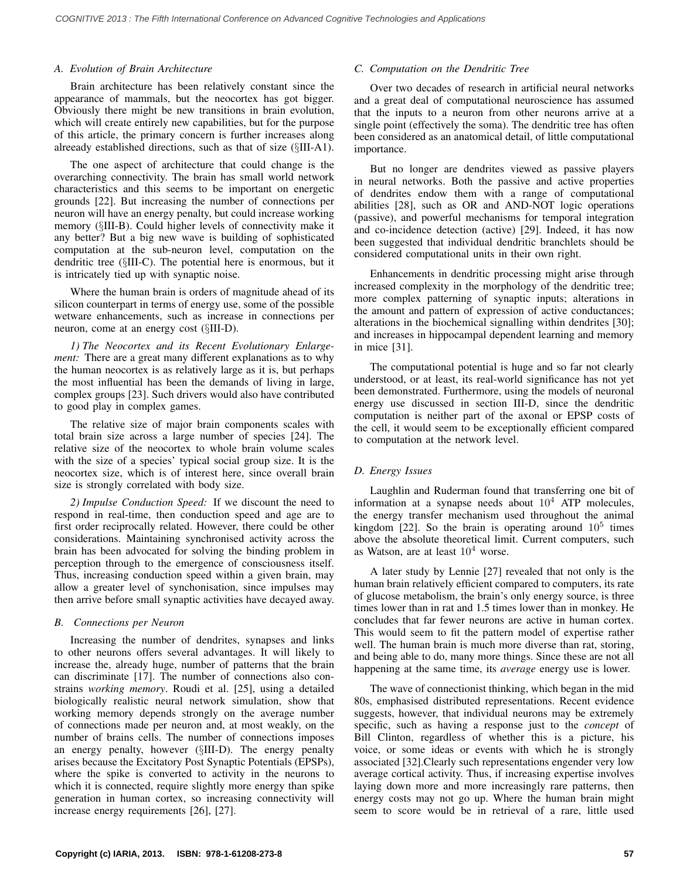### *A. Evolution of Brain Architecture*

Brain architecture has been relatively constant since the appearance of mammals, but the neocortex has got bigger. Obviously there might be new transitions in brain evolution, which will create entirely new capabilities, but for the purpose of this article, the primary concern is further increases along alreeady established directions, such as that of size (§III-A1).

The one aspect of architecture that could change is the overarching connectivity. The brain has small world network characteristics and this seems to be important on energetic grounds [22]. But increasing the number of connections per neuron will have an energy penalty, but could increase working memory (§III-B). Could higher levels of connectivity make it any better? But a big new wave is building of sophisticated computation at the sub-neuron level, computation on the dendritic tree (§III-C). The potential here is enormous, but it is intricately tied up with synaptic noise.

Where the human brain is orders of magnitude ahead of its silicon counterpart in terms of energy use, some of the possible wetware enhancements, such as increase in connections per neuron, come at an energy cost (§III-D).

*1) The Neocortex and its Recent Evolutionary Enlargement:* There are a great many different explanations as to why the human neocortex is as relatively large as it is, but perhaps the most influential has been the demands of living in large, complex groups [23]. Such drivers would also have contributed to good play in complex games.

The relative size of major brain components scales with total brain size across a large number of species [24]. The relative size of the neocortex to whole brain volume scales with the size of a species' typical social group size. It is the neocortex size, which is of interest here, since overall brain size is strongly correlated with body size.

*2) Impulse Conduction Speed:* If we discount the need to respond in real-time, then conduction speed and age are to first order reciprocally related. However, there could be other considerations. Maintaining synchronised activity across the brain has been advocated for solving the binding problem in perception through to the emergence of consciousness itself. Thus, increasing conduction speed within a given brain, may allow a greater level of synchonisation, since impulses may then arrive before small synaptic activities have decayed away.

## *B. Connections per Neuron*

Increasing the number of dendrites, synapses and links to other neurons offers several advantages. It will likely to increase the, already huge, number of patterns that the brain can discriminate [17]. The number of connections also constrains *working memory*. Roudi et al. [25], using a detailed biologically realistic neural network simulation, show that working memory depends strongly on the average number of connections made per neuron and, at most weakly, on the number of brains cells. The number of connections imposes an energy penalty, however (§III-D). The energy penalty arises because the Excitatory Post Synaptic Potentials (EPSPs), where the spike is converted to activity in the neurons to which it is connected, require slightly more energy than spike generation in human cortex, so increasing connectivity will increase energy requirements [26], [27].

## *C. Computation on the Dendritic Tree*

Over two decades of research in artificial neural networks and a great deal of computational neuroscience has assumed that the inputs to a neuron from other neurons arrive at a single point (effectively the soma). The dendritic tree has often been considered as an anatomical detail, of little computational importance.

But no longer are dendrites viewed as passive players in neural networks. Both the passive and active properties of dendrites endow them with a range of computational abilities [28], such as OR and AND-NOT logic operations (passive), and powerful mechanisms for temporal integration and co-incidence detection (active) [29]. Indeed, it has now been suggested that individual dendritic branchlets should be considered computational units in their own right.

Enhancements in dendritic processing might arise through increased complexity in the morphology of the dendritic tree; more complex patterning of synaptic inputs; alterations in the amount and pattern of expression of active conductances; alterations in the biochemical signalling within dendrites [30]; and increases in hippocampal dependent learning and memory in mice [31].

The computational potential is huge and so far not clearly understood, or at least, its real-world significance has not yet been demonstrated. Furthermore, using the models of neuronal energy use discussed in section III-D, since the dendritic computation is neither part of the axonal or EPSP costs of the cell, it would seem to be exceptionally efficient compared to computation at the network level.

## *D. Energy Issues*

Laughlin and Ruderman found that transferring one bit of information at a synapse needs about  $10<sup>4</sup>$  ATP molecules, the energy transfer mechanism used throughout the animal kingdom [22]. So the brain is operating around  $10^5$  times above the absolute theoretical limit. Current computers, such as Watson, are at least  $10<sup>4</sup>$  worse.

A later study by Lennie [27] revealed that not only is the human brain relatively efficient compared to computers, its rate of glucose metabolism, the brain's only energy source, is three times lower than in rat and 1.5 times lower than in monkey. He concludes that far fewer neurons are active in human cortex. This would seem to fit the pattern model of expertise rather well. The human brain is much more diverse than rat, storing, and being able to do, many more things. Since these are not all happening at the same time, its *average* energy use is lower.

The wave of connectionist thinking, which began in the mid 80s, emphasised distributed representations. Recent evidence suggests, however, that individual neurons may be extremely specific, such as having a response just to the *concept* of Bill Clinton, regardless of whether this is a picture, his voice, or some ideas or events with which he is strongly associated [32].Clearly such representations engender very low average cortical activity. Thus, if increasing expertise involves laying down more and more increasingly rare patterns, then energy costs may not go up. Where the human brain might seem to score would be in retrieval of a rare, little used